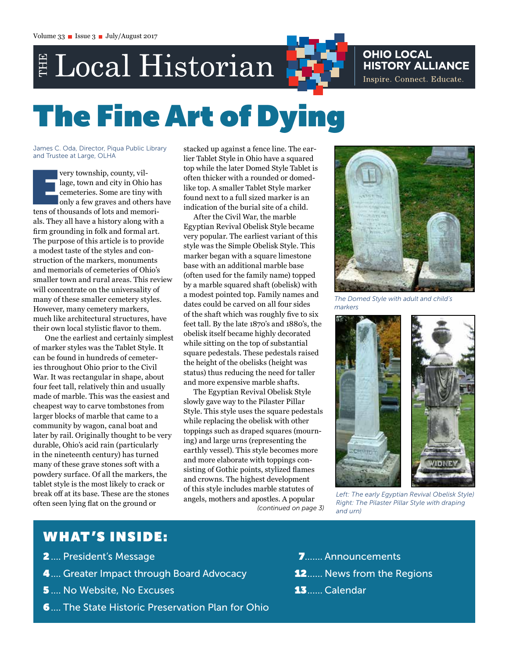**OHIO LOCAL<br>HISTORY ALLIANCE** Inspire. Connect. Educate.

# E Local Historian

# The Fine Art of Dying

James C. Oda, Director, Piqua Public Library and Trustee at Large, OLHA

very township, county, vil-<br>
lage, town and city in Ohio has<br>
cemeteries. Some are tiny with<br>
only a few graves and others h<br>
tens of thousands of lots and memorilage, town and city in Ohio has cemeteries. Some are tiny with only a few graves and others have als. They all have a history along with a firm grounding in folk and formal art. The purpose of this article is to provide a modest taste of the styles and construction of the markers, monuments and memorials of cemeteries of Ohio's smaller town and rural areas. This review will concentrate on the universality of many of these smaller cemetery styles. However, many cemetery markers, much like architectural structures, have their own local stylistic flavor to them.

 One the earliest and certainly simplest of marker styles was the Tablet Style. It can be found in hundreds of cemeteries throughout Ohio prior to the Civil War. It was rectangular in shape, about four feet tall, relatively thin and usually made of marble. This was the easiest and cheapest way to carve tombstones from larger blocks of marble that came to a community by wagon, canal boat and later by rail. Originally thought to be very durable, Ohio's acid rain (particularly in the nineteenth century) has turned many of these grave stones soft with a powdery surface. Of all the markers, the tablet style is the most likely to crack or break off at its base. These are the stones often seen lying flat on the ground or

stacked up against a fence line. The earlier Tablet Style in Ohio have a squared top while the later Domed Style Tablet is often thicker with a rounded or domedlike top. A smaller Tablet Style marker found next to a full sized marker is an indication of the burial site of a child.

After the Civil War, the marble Egyptian Revival Obelisk Style became very popular. The earliest variant of this style was the Simple Obelisk Style. This marker began with a square limestone base with an additional marble base (often used for the family name) topped by a marble squared shaft (obelisk) with a modest pointed top. Family names and dates could be carved on all four sides of the shaft which was roughly five to six feet tall. By the late 1870's and 1880's, the obelisk itself became highly decorated while sitting on the top of substantial square pedestals. These pedestals raised the height of the obelisks (height was status) thus reducing the need for taller and more expensive marble shafts.

The Egyptian Revival Obelisk Style slowly gave way to the Pilaster Pillar Style. This style uses the square pedestals while replacing the obelisk with other toppings such as draped squares (mourning) and large urns (representing the earthly vessel). This style becomes more and more elaborate with toppings consisting of Gothic points, stylized flames and crowns. The highest development of this style includes marble statutes of angels, mothers and apostles. A popular *(continued on page 3)*



*The Domed Style with adult and child's markers*



*Left: The early Egyptian Revival Obelisk Style) Right: The Pilaster Pillar Style with draping and urn)*

# WHAT'S INSIDE:

- 2.... President's Message
- 4.... Greater Impact through Board Advocacy
- **5** .... No Website, No Excuses
- 6.... The State Historic Preservation Plan for Ohio
- 7....... Announcements **12...... News from the Regions** 13...... Calendar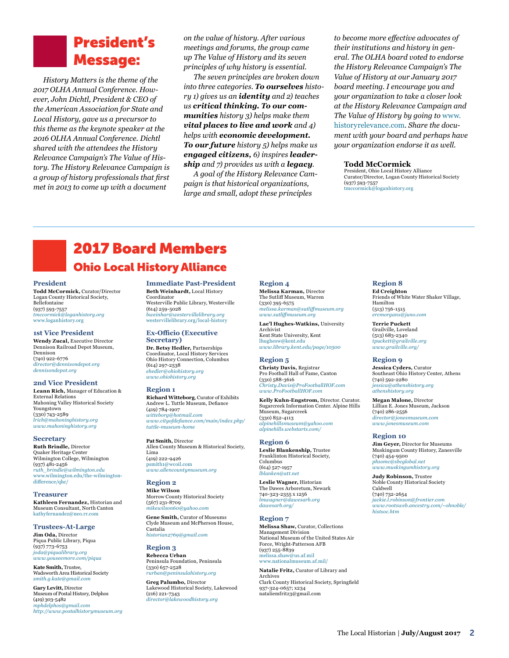# President's Message:

*History Matters is the theme of the 2017 OLHA Annual Conference. However, John Dichtl, President & CEO of the American Association for State and Local History, gave us a precursor to this theme as the keynote speaker at the 2016 OLHA Annual Conference. Dichtl shared with the attendees the History Relevance Campaign's The Value of History. The History Relevance Campaign is a group of history professionals that first met in 2013 to come up with a document* 

*on the value of history. After various meetings and forums, the group came up The Value of History and its seven principles of why history is essential.*

*The seven principles are broken down into three categories. To ourselves history 1) gives us an identity and 2) teaches us critical thinking. To our communities history 3) helps make them vital places to live and work and 4) helps with economic development. To our future history 5) helps make us engaged citizens, 6) inspires leadership and 7) provides us with a legacy.*

*A goal of the History Relevance Campaign is that historical organizations, large and small, adopt these principles* 

*to become more effective advocates of their institutions and history in general. The OLHA board voted to endorse the History Relevance Campaign's The Value of History at our January 2017 board meeting. I encourage you and your organization to take a closer look at the History Relevance Campaign and The Value of History by going to* [www.](http://www.historyrelevance.com) [historyrelevance.com](http://www.historyrelevance.com)*. Share the document with your board and perhaps have your organization endorse it as well.* 

#### **Todd McCormick**

President, Ohio Local History Alliance Curator/Director, Logan County Historical Society (937) 593-7557 [tmccormick@loganhistory.org](mailto:tmccormick@loganhistory.org)

# 2017 Board Members Ohio Local History Alliance

#### **President**

**Todd McCormick,** Curator/Director Logan County Historical Society, Bellefontaine (937) 593-7557 *[tmccormick@loganhistory.org](mailto:tmccormick@loganhistory.org)* [www.loganhistory.org](http://www.loganhistory.org)

#### **1st Vice President**

**Wendy Zucal,** Executive Director Dennison Railroad Depot Museum, Dennison (740) 922-6776 *[director@dennisondepot.org](mailto:director@dennisondepot.org) [dennisondepot.org](http://dennisondepot.org)*

#### **2nd Vice President**

**Leann Rich,** Manager of Education & External Relations Mahoning Valley Historical Society Youngstown (330) 743-2589 *[lrich@mahoninghistory.org](mailto:lrich@mahoninghistory.org)  [www.mahoninghistory.org](http://www.mahoninghistory.org)*

#### **Secretary**

**Ruth Brindle,** Director Quaker Heritage Center Wilmington College, Wilmington (937) 481-2456 *[ruth\\_brindle@wilmington.edu](mailto:ruth_brindle@wilmington.edu)* [www.wilmington.edu/the-wilmington](https://www.wilmington.edu/the-wilmington-difference/qhc/)[difference/qhc/](https://www.wilmington.edu/the-wilmington-difference/qhc/)

#### **Treasurer Kathleen Fernandez,** Historian and Museum Consultant, North Canton [kathyfernandez@neo.rr.com](mailto:kathyfernandez%40neo.rr.com?subject=)

#### **Trustees-At-Large**

**Jim Oda,** Director Piqua Public Library, Piqua (937) 773-6753 *[joda@piqualibrary.org](mailto:joda@piqualibrary.org) [www.youseemore.com/piqua](http://www.youseemore.com/piqua)*

**Kate Smith,** Trustee, Wadsworth Area Historical Society *[smith.g.kate@gmail.com](mailto:smith.g.kate@gmail.com)*

**Gary Levitt,** Director Museum of Postal History, Delphos (419) 303-5482 *[mphdelphos@gmail.com](mailto:mphdelphos@gmail.com) <http://www.postalhistorymuseum.org>* **Immediate Past-President Beth Weinhardt,** Local History Coordinator Westerville Public Library, Westerville (614) 259-5028 *[bweinhar@westervillelibrary.org](mailto:bweinhar@westervillelibrary.org)* [westervillelibrary.org/local-history](http://westervillelibrary.org/local-history)

**Ex-Officio (Executive Secretary) Dr. Betsy Hedler,** Partnerships Coordinator, Local History Services Ohio History Connection, Columbus (614) 297-2538 *[ehedler@ohiohistory.org](mailto:ehedler@ohiohistory.org) [www.ohiohistory.org](http://www.ohiohistory.org)*

#### **Region 1**

**Richard Witteborg**, Curator of Exhibits Andrew L. Tuttle Museum, Defiance (419) 784-1907 *[witteborg@hotmail.com](mailto:witteborg%40hotmail.com?subject=) [www.cityofdefiance.com/main/index.php/](http://www.cityofdefiance.com/main/index.php/tuttle-museum-home) [tuttle-museum-home](http://www.cityofdefiance.com/main/index.php/tuttle-museum-home)* 

**Pat Smith,** Director Allen County Museum & Historical Society, Lima (419) 222-9426 [psmith1@wcoil.com](mailto:psmith1@wcoil.com) *[www.allencountymuseum.org](http://www.allencountymuseum.org/ACM2/Welcome.html)* 

#### **Region 2 Mike Wilson** Morrow County Historical Society (567) 231-8709 *[mikewilson60@yahoo.com](mailto:mikewilson60@yahoo.com)*

**Gene Smith,** Curator of Museums Clyde Museum and McPherson House, Castalia *[historian2769@gmail.com](mailto:historian2769@gmail.com )*

**Region 3 Rebecca Urban** Peninsula Foundation, Peninsula (330) 657-2528

*[rurban@peninsulahistory.org](mailto:rurban@peninsulahistory.org)* **Greg Palumbo,** Director Lakewood Historical Society, Lakewood (216) 221-7343 *[director@lakewoodhistory.org](mailto:director@lakewoodhistory.org )*

#### **Region 4**

**Melissa Karman,** Director The Sutliff Museum, Warren (330) 395-6575 *[melissa.karman@sutliffmuseum.org](mailto:melissa.karman@sutliffmuseum.org)  [www.sutliffmuseum.org](http://www.sutliffmuseum.org/)*

**Lae'l Hughes-Watkins,** University Archivist Kent State University, Kent [lhughesw@kent.edu](mailto:lhughes@kent.edu)

*[www.library.kent.edu/page/10300](http://www.library.kent.edu/page/10300 )* **Region 5**

**Christy Davis,** Registrar Pro Football Hall of Fame, Canton (330) 588-3616 *[Christy.Davis@ProFootballHOF.com](mailto:Christy.Davis@ProFootballHOF.com) [www.ProFootballHOF.com](http://www.profootballhof.com/)*

**Kelly Kuhn-Engstrom,** Director. Curator. Sugarcreek Information Center. Alpine Hills Museum, Sugarcreek (330) 852-4113 *[alpinehillsmuseum@yahoo.com](mailto:alpinehillsmuseum@yahoo.com) [alpinehills.webstarts.com/](http://alpinehills.webstarts.com)*

# **Region 6**

**Leslie Blankenship,** Trustee Franklinton Historical Society, Columbus (614) 527-1957 *[lblanken@att.net](mailto:lblanken@att.net)* 

**Leslie Wagner,** Historian The Dawes Arboretum, Newark 740-323-2355 x 1256 *[lmwagner@dawesarb.org](mailto:lmwagner@dawesarb.org ) [dawesarb.org/](http://dawesarb.org/ )*

#### **Region 7**

**Melissa Shaw,** Curator, Collections Management Division National Museum of the United States Air Force, Wright-Patterson AFB (937) 255-8839 [melissa.shaw@us.af.mil](mailto:melissa.shaw@us.af.mil http://www.nationalmuseum.af.mil/ ) [www.nationalmuseum.af.mil/](mailto:melissa.shaw@us.af.mil http://www.nationalmuseum.af.mil/ )

**Natalie Fritz,** [Curator of Library and](mailto:melissa.shaw@us.af.mil http://www.nationalmuseum.af.mil/ )  [Archives](mailto:melissa.shaw@us.af.mil http://www.nationalmuseum.af.mil/ ) [Clark County Historical Society, Springfield](mailto:melissa.shaw@us.af.mil http://www.nationalmuseum.af.mil/ ) [937-324-0657; x234](mailto:melissa.shaw@us.af.mil http://www.nationalmuseum.af.mil/ ) [nataliemfritz3@gmail.com](mailto:melissa.shaw@us.af.mil http://www.nationalmuseum.af.mil/ )

#### **Region 8**

**Ed Creighton** Friends of White Water Shaker Village, Hamilton (513) 756-1515 *[ercmorgans@juno.com](mailto:ercmorgans@juno.com)*

**Terrie Puckett** Grailville, Loveland (513) 683-2340 *[tpuckett@grailville.org](mailto:tpuckett@grailville.org) [www.grailville.org](http://www.grailville.org)/*

#### **Region 9**

**Jessica Cyders,** Curator Southeast Ohio History Center, Athens (740) 592-2280 *[jessica@athenshistory.org](mailto:jessica@athenshistory.org)  [athenshistory.org](http://athenshistory.org)*

**Megan Malone,** Director Lillian E. Jones Museum, Jackson (740) 286-2556 *[director@jonesmuseum.com](mailto:director@jonesmuseum.com) [www.jonesmuseum.com](http://www.jonesmuseum.com)*

#### **Region 10**

**Jim Geyer,** Director for Museums Muskingum County History, Zanesville (740) 454-9500 *[phsomc@sbcglobal.net](mailto:phsomc@sbcglobal.net) [www.muskingumhistory.org](http://www.muskingumhistory.org)*

**Judy Robinson,** Trustee Noble County Historical Society Caldwell (740) 732-2654 *[jackie.l.robinson@frontier.com](mailto:jackie.l.robinson@frontier.com) [www.rootsweb.ancestry.com/~ohnoble/](http://www.rootsweb.ancestry.com/~ohnoble/histsoc.htm) [histsoc.htm](http://www.rootsweb.ancestry.com/~ohnoble/histsoc.htm)*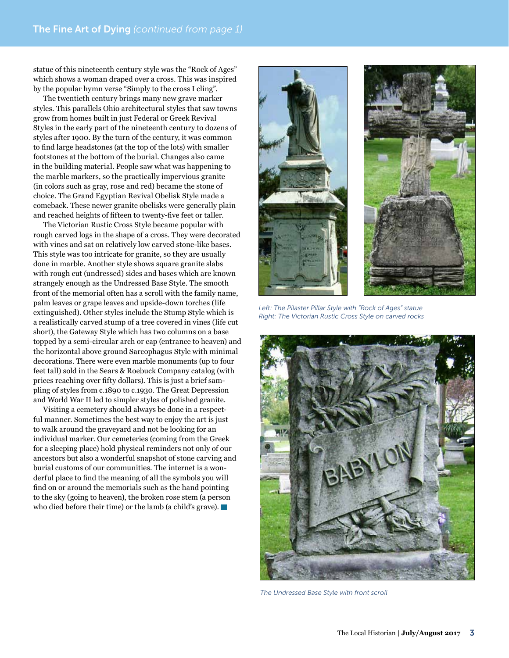statue of this nineteenth century style was the "Rock of Ages" which shows a woman draped over a cross. This was inspired by the popular hymn verse "Simply to the cross I cling".

The twentieth century brings many new grave marker styles. This parallels Ohio architectural styles that saw towns grow from homes built in just Federal or Greek Revival Styles in the early part of the nineteenth century to dozens of styles after 1900. By the turn of the century, it was common to find large headstones (at the top of the lots) with smaller footstones at the bottom of the burial. Changes also came in the building material. People saw what was happening to the marble markers, so the practically impervious granite (in colors such as gray, rose and red) became the stone of choice. The Grand Egyptian Revival Obelisk Style made a comeback. These newer granite obelisks were generally plain and reached heights of fifteen to twenty-five feet or taller.

The Victorian Rustic Cross Style became popular with rough carved logs in the shape of a cross. They were decorated with vines and sat on relatively low carved stone-like bases. This style was too intricate for granite, so they are usually done in marble. Another style shows square granite slabs with rough cut (undressed) sides and bases which are known strangely enough as the Undressed Base Style. The smooth front of the memorial often has a scroll with the family name, palm leaves or grape leaves and upside-down torches (life extinguished). Other styles include the Stump Style which is a realistically carved stump of a tree covered in vines (life cut short), the Gateway Style which has two columns on a base topped by a semi-circular arch or cap (entrance to heaven) and the horizontal above ground Sarcophagus Style with minimal decorations. There were even marble monuments (up to four feet tall) sold in the Sears & Roebuck Company catalog (with prices reaching over fifty dollars). This is just a brief sampling of styles from c.1890 to c.1930. The Great Depression and World War II led to simpler styles of polished granite.

Visiting a cemetery should always be done in a respectful manner. Sometimes the best way to enjoy the art is just to walk around the graveyard and not be looking for an individual marker. Our cemeteries (coming from the Greek for a sleeping place) hold physical reminders not only of our ancestors but also a wonderful snapshot of stone carving and burial customs of our communities. The internet is a wonderful place to find the meaning of all the symbols you will find on or around the memorials such as the hand pointing to the sky (going to heaven), the broken rose stem (a person who died before their time) or the lamb (a child's grave).



*Left: The Pilaster Pillar Style with "Rock of Ages" statue Right: The Victorian Rustic Cross Style on carved rocks*



*The Undressed Base Style with front scroll*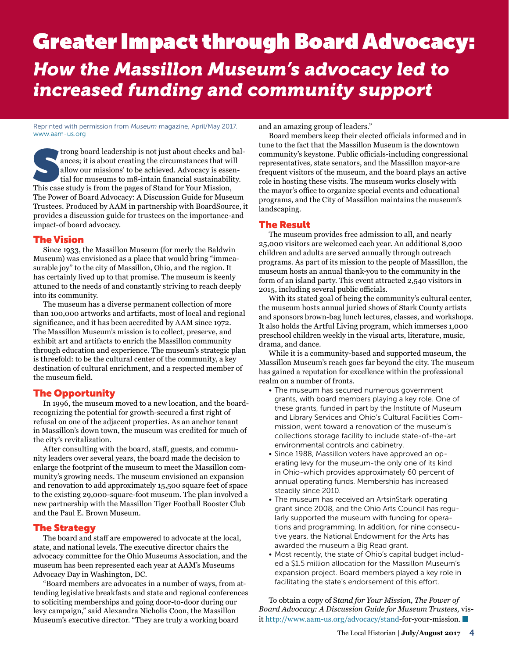# Greater Impact through Board Advocacy: *How the Massillon Museum's advocacy led to increased funding and community support*

Reprinted with permission from *Museum* magazine, April/May 2017. [www.aam-us.org](http://www.aam-us.org)

trong board leadership is not just about checks and balances; it is about creating the circumstances that will allow our missions' to be achieved. Advocacy is essential for museums to m8-intain financial sustainability. Th ances; it is about creating the circumstances that will allow our missions' to be achieved. Advocacy is essential for museums to m8-intain financial sustainability. This case study is from the pages of Stand for Your Mission, The Power of Board Advocacy: A Discussion Guide for Museum Trustees. Produced by AAM in partnership with BoardSource, it provides a discussion guide for trustees on the importance-and impact-of board advocacy.

## The Vision

Since 1933, the Massillon Museum (for merly the Baldwin Museum) was envisioned as a place that would bring "immeasurable joy" to the city of Massillon, Ohio, and the region. It has certainly lived up to that promise. The museum is keenly attuned to the needs of and constantly striving to reach deeply into its community.

The museum has a diverse permanent collection of more than 100,000 artworks and artifacts, most of local and regional significance, and it has been accredited by AAM since 1972. The Massillon Museum's mission is to collect, preserve, and exhibit art and artifacts to enrich the Massillon community through education and experience. The museum's strategic plan is threefold: to be the cultural center of the community, a key destination of cultural enrichment, and a respected member of the museum field.

## The Opportunity

In 1996, the museum moved to a new location, and the boardrecognizing the potential for growth-secured a first right of refusal on one of the adjacent properties. As an anchor tenant in Massillon's down town, the museum was credited for much of the city's revitalization.

After consulting with the board, staff, guests, and community leaders over several years, the board made the decision to enlarge the footprint of the museum to meet the Massillon community's growing needs. The museum envisioned an expansion and renovation to add approximately 15,500 square feet of space to the existing 29,000-square-foot museum. The plan involved a new partnership with the Massillon Tiger Football Booster Club and the Paul E. Brown Museum.

## The Strategy

The board and staff are empowered to advocate at the local, state, and national levels. The executive director chairs the advocacy committee for the Ohio Museums Association, and the museum has been represented each year at AAM's Museums Advocacy Day in Washington, DC.

"Board members are advocates in a number of ways, from attending legislative breakfasts and state and regional conferences to soliciting memberships and going door-to-door during our levy campaign," said Alexandra Nicholis Coon, the Massillon Museum's executive director. "They are truly a working board

and an amazing group of leaders."

Board members keep their elected officials informed and in tune to the fact that the Massillon Museum is the downtown community's keystone. Public officials-including congressional representatives, state senators, and the Massillon mayor-are frequent visitors of the museum, and the board plays an active role in hosting these visits. The museum works closely with the mayor's office to organize special events and educational programs, and the City of Massillon maintains the museum's landscaping.

## The Result

The museum provides free admission to all, and nearly 25,000 visitors are welcomed each year. An additional 8,000 children and adults are served annually through outreach programs. As part of its mission to the people of Massillon, the museum hosts an annual thank-you to the community in the form of an island party. This event attracted 2,540 visitors in 2015, including several public officials.

With its stated goal of being the community's cultural center, the museum hosts annual juried shows of Stark County artists and sponsors brown-bag lunch lectures, classes, and workshops. It also holds the Artful Living program, which immerses 1,000 preschool children weekly in the visual arts, literature, music, drama, and dance.

While it is a community-based and supported museum, the Massillon Museum's reach goes far beyond the city. The museum has gained a reputation for excellence within the professional realm on a number of fronts.

- The museum has secured numerous government grants, with board members playing a key role. One of these grants, funded in part by the Institute of Museum and Library Services and Ohio's Cultural Facilities Commission, went toward a renovation of the museum's collections storage facility to include state-of-the-art environmental controls and cabinetry.
- Since 1988, Massillon voters have approved an operating levy for the museum-the only one of its kind in Ohio-which provides approximately 60 percent of annual operating funds. Membership has increased steadily since 2010.
- The museum has received an ArtsinStark operating grant since 2008, and the Ohio Arts Council has regularly supported the museum with funding for operations and programming. In addition, for nine consecutive years, the National Endowment for the Arts has awarded the museum a Big Read grant.
- Most recently, the state of Ohio's capital budget included a \$1.5 million allocation for the Massillon Museum's expansion project. Board members played a key role in facilitating the state's endorsement of this effort.

To obtain a copy of S*tand for Your Mission, The Power of Board Advocacy: A Discussion Guide for Museum Trustees,* visit <http://www.aam-us.org/advocacy/stand>-for-your-mission.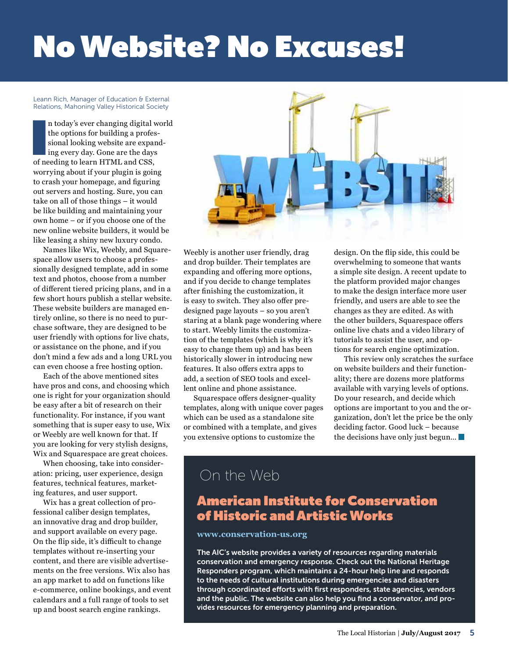# No Website? No Excuses!

#### Leann Rich, Manager of Education & External Relations, Mahoning Valley Historical Society

n today's ever changing digital v<br>the options for building a profes<br>sional looking website are expar<br>ing every day. Gone are the days<br>of needing to learn HTML and CSS, n today's ever changing digital world the options for building a professional looking website are expanding every day. Gone are the days worrying about if your plugin is going to crash your homepage, and figuring out servers and hosting. Sure, you can take on all of those things – it would be like building and maintaining your own home – or if you choose one of the new online website builders, it would be like leasing a shiny new luxury condo.

Names like Wix, Weebly, and Squarespace allow users to choose a professionally designed template, add in some text and photos, choose from a number of different tiered pricing plans, and in a few short hours publish a stellar website. These website builders are managed entirely online, so there is no need to purchase software, they are designed to be user friendly with options for live chats, or assistance on the phone, and if you don't mind a few ads and a long URL you can even choose a free hosting option.

Each of the above mentioned sites have pros and cons, and choosing which one is right for your organization should be easy after a bit of research on their functionality. For instance, if you want something that is super easy to use, Wix or Weebly are well known for that. If you are looking for very stylish designs, Wix and Squarespace are great choices.

When choosing, take into consideration: pricing, user experience, design features, technical features, marketing features, and user support.

Wix has a great collection of professional caliber design templates, an innovative drag and drop builder, and support available on every page. On the flip side, it's difficult to change templates without re-inserting your content, and there are visible advertisements on the free versions. Wix also has an app market to add on functions like e-commerce, online bookings, and event calendars and a full range of tools to set up and boost search engine rankings.



Weebly is another user friendly, drag and drop builder. Their templates are expanding and offering more options, and if you decide to change templates after finishing the customization, it is easy to switch. They also offer predesigned page layouts – so you aren't staring at a blank page wondering where to start. Weebly limits the customization of the templates (which is why it's easy to change them up) and has been historically slower in introducing new features. It also offers extra apps to add, a section of SEO tools and excellent online and phone assistance.

Squarespace offers designer-quality templates, along with unique cover pages which can be used as a standalone site or combined with a template, and gives you extensive options to customize the

design. On the flip side, this could be overwhelming to someone that wants a simple site design. A recent update to the platform provided major changes to make the design interface more user friendly, and users are able to see the changes as they are edited. As with the other builders, Squarespace offers online live chats and a video library of tutorials to assist the user, and options for search engine optimization.

This review only scratches the surface on website builders and their functionality; there are dozens more platforms available with varying levels of options. Do your research, and decide which options are important to you and the organization, don't let the price be the only deciding factor. Good luck – because the decisions have only just begun…

# On the Web

# American Institute for Conservation of Historic and Artistic Works

#### **[www.conservation-us.org](http://www.conservation-us.org)**

The AIC's website provides a variety of resources regarding materials conservation and emergency response. Check out the National Heritage Responders program, which maintains a 24-hour help line and responds to the needs of cultural institutions during emergencies and disasters through coordinated efforts with first responders, state agencies, vendors and the public. The website can also help you find a conservator, and provides resources for emergency planning and preparation.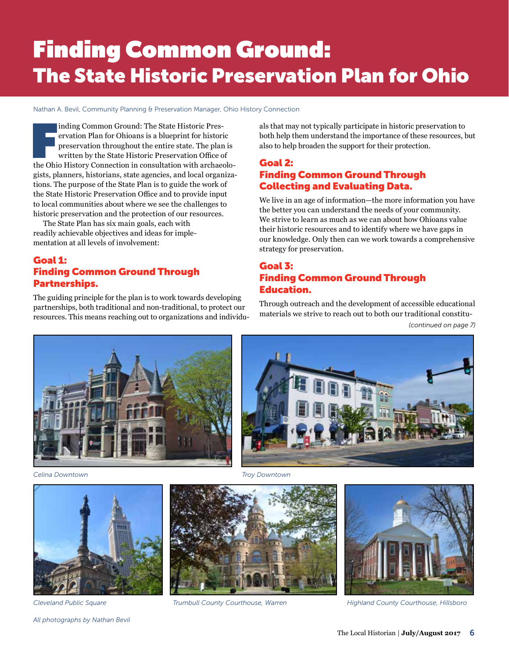# Finding Common Ground: The State Historic Preservation Plan for Ohio

Nathan A. Bevil, Community Planning & Preservation Manager, Ohio History Connection

inding Common Ground: The State Historic Preservation Plan for Ohioans is a blueprint for historic preservation throughout the entire state. The plan is written by the State Historic Preservation Office of the Ohio History inding Common Ground: The State Historic Preservation Plan for Ohioans is a blueprint for historic preservation throughout the entire state. The plan is written by the State Historic Preservation Office of gists, planners, historians, state agencies, and local organizations. The purpose of the State Plan is to guide the work of the State Historic Preservation Office and to provide input to local communities about where we see the challenges to historic preservation and the protection of our resources.

The State Plan has six main goals, each with readily achievable objectives and ideas for implementation at all levels of involvement:

## Goal 1: Finding Common Ground Through Partnerships.

The guiding principle for the plan is to work towards developing partnerships, both traditional and non-traditional, to protect our resources. This means reaching out to organizations and individu-

als that may not typically participate in historic preservation to both help them understand the importance of these resources, but also to help broaden the support for their protection.

## Goal 2: Finding Common Ground Through Collecting and Evaluating Data.

We live in an age of information—the more information you have the better you can understand the needs of your community. We strive to learn as much as we can about how Ohioans value their historic resources and to identify where we have gaps in our knowledge. Only then can we work towards a comprehensive strategy for preservation.

## Goal 3: Finding Common Ground Through Education.

Through outreach and the development of accessible educational materials we strive to reach out to both our traditional constitu-

*(continued on page 7)*





*Celina Downtown*



*All photographs by Nathan Bevil*

*Troy Downtown*



*Trumbull County Courthouse, Warren*



*Cleveland Public Square Highland County Courthouse, Hillsboro*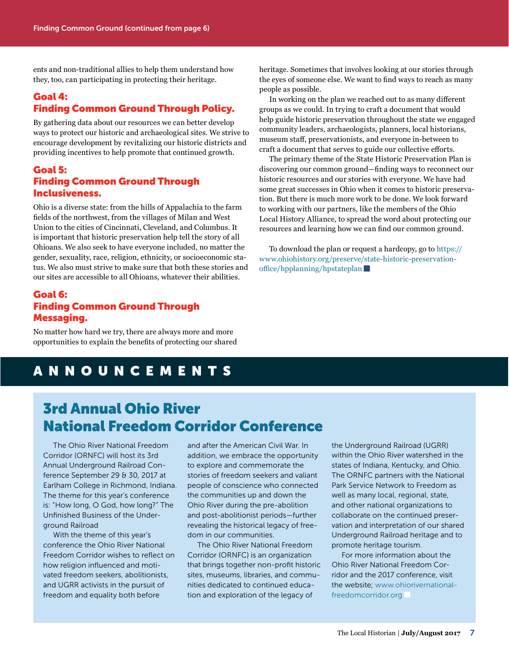ents and non-traditional allies to help them understand how they, too, can participating in protecting their heritage.

## Goal 4: Finding Common Ground Through Policy.

By gathering data about our resources we can better develop ways to protect our historic and archaeological sites. We strive to encourage development by revitalizing our historic districts and providing incentives to help promote that continued growth.

## Goal 5: Finding Common Ground Through Inclusiveness.

Ohio is a diverse state: from the hills of Appalachia to the farm fields of the northwest, from the villages of Milan and West Union to the cities of Cincinnati, Cleveland, and Columbus. It is important that historic preservation help tell the story of all Ohioans. We also seek to have everyone included, no matter the gender, sexuality, race, religion, ethnicity, or socioeconomic status. We also must strive to make sure that both these stories and our sites are accessible to all Ohioans, whatever their abilities.

## Goal 6: Finding Common Ground Through Messaging.

No matter how hard we try, there are always more and more opportunities to explain the benefits of protecting our shared

# ANNOUNCEMENTS

heritage. Sometimes that involves looking at our stories through the eyes of someone else. We want to find ways to reach as many people as possible.

In working on the plan we reached out to as many different groups as we could. In trying to craft a document that would help guide historic preservation throughout the state we engaged community leaders, archaeologists, planners, local historians, museum staff, preservationists, and everyone in-between to craft a document that serves to guide our collective efforts.

The primary theme of the State Historic Preservation Plan is discovering our common ground—finding ways to reconnect our historic resources and our stories with everyone. We have had some great successes in Ohio when it comes to historic preservation. But there is much more work to be done. We look forward to working with our partners, like the members of the Ohio Local History Alliance, to spread the word about protecting our resources and learning how we can find our common ground.

To download the plan or request a hardcopy, go to [https://](https://www.ohiohistory.org/preserve/state-historic-preservation-office/hpplanning/hpstateplan) [www.ohiohistory.org/preserve/state-historic-preservation](https://www.ohiohistory.org/preserve/state-historic-preservation-office/hpplanning/hpstateplan)[office/hpplanning/hpstateplan](https://www.ohiohistory.org/preserve/state-historic-preservation-office/hpplanning/hpstateplan)

# 3rd Annual Ohio River National Freedom Corridor Conference

The Ohio River National Freedom Corridor (ORNFC) will host its 3rd Annual Underground Railroad Conference September 29 & 30, 2017 at Earlham College in Richmond, Indiana. The theme for this year's conference is: "How long, O God, how long?" The Unfinished Business of the Underground Railroad

With the theme of this year's conference the Ohio River National Freedom Corridor wishes to reflect on how religion influenced and motivated freedom seekers, abolitionists, and UGRR activists in the pursuit of freedom and equality both before

and after the American Civil War. In addition, we embrace the opportunity to explore and commemorate the stories of freedom seekers and valiant people of conscience who connected the communities up and down the Ohio River during the pre-abolition and post-abolitionist periods—further revealing the historical legacy of freedom in our communities.

The Ohio River National Freedom Corridor (ORNFC) is an organization that brings together non-profit historic sites, museums, libraries, and communities dedicated to continued education and exploration of the legacy of

the Underground Railroad (UGRR) within the Ohio River watershed in the states of Indiana, Kentucky, and Ohio. The ORNFC partners with the National Park Service Network to Freedom as well as many local, regional, state, and other national organizations to collaborate on the continued preservation and interpretation of our shared Underground Railroad heritage and to promote heritage tourism.

For more information about the Ohio River National Freedom Corridor and the 2017 conference, visit the website; [www.ohiorivernational](http://www.ohiorivernationalfreedomcorridor.org)[freedomcorridor.org](http://www.ohiorivernationalfreedomcorridor.org)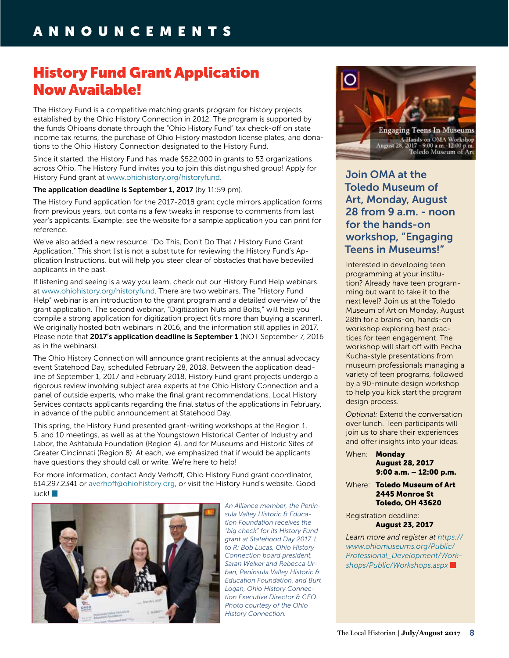# History Fund Grant Application Now Available!

The History Fund is a competitive matching grants program for history projects established by the Ohio History Connection in 2012. The program is supported by the funds Ohioans donate through the "Ohio History Fund" tax check-off on state income tax returns, the purchase of Ohio History mastodon license plates, and donations to the Ohio History Connection designated to the History Fund.

Since it started, the History Fund has made \$522,000 in grants to 53 organizations across Ohio. The History Fund invites you to join this distinguished group! Apply for History Fund grant at [www.ohiohistory.org/historyfund.](http://www.ohiohistory.org/historyfund)

#### The application deadline is September 1, 2017 (by 11:59 pm).

The History Fund application for the 2017-2018 grant cycle mirrors application forms from previous years, but contains a few tweaks in response to comments from last year's applicants. Example: see the website for a sample application you can print for reference.

We've also added a new resource: "Do This, Don't Do That / History Fund Grant Application." This short list is not a substitute for reviewing the History Fund's Application Instructions, but will help you steer clear of obstacles that have bedeviled applicants in the past.

If listening and seeing is a way you learn, check out our History Fund Help webinars at [www.ohiohistory.org/historyfund](http://www.ohiohistory.org/historyfund). There are two webinars. The "History Fund Help" webinar is an introduction to the grant program and a detailed overview of the grant application. The second webinar, "Digitization Nuts and Bolts," will help you compile a strong application for digitization project (it's more than buying a scanner). We originally hosted both webinars in 2016, and the information still applies in 2017. Please note that 2017's application deadline is September 1 (NOT September 7, 2016 as in the webinars).

The Ohio History Connection will announce grant recipients at the annual advocacy event Statehood Day, scheduled February 28, 2018. Between the application deadline of September 1, 2017 and February 2018, History Fund grant projects undergo a rigorous review involving subject area experts at the Ohio History Connection and a panel of outside experts, who make the final grant recommendations. Local History Services contacts applicants regarding the final status of the applications in February, in advance of the public announcement at Statehood Day.

This spring, the History Fund presented grant-writing workshops at the Region 1, 5, and 10 meetings, as well as at the Youngstown Historical Center of Industry and Labor, the Ashtabula Foundation (Region 4), and for Museums and Historic Sites of Greater Cincinnati (Region 8). At each, we emphasized that if would be applicants have questions they should call or write. We're here to help!

For more information, contact Andy Verhoff, Ohio History Fund grant coordinator, 614.297.2341 or [averhoff@ohiohistory.org](mailto:averhoff@ohiohistory.org), or visit the History Fund's website. Good  $luck!$ 



*An Alliance member, the Peninsula Valley Historic & Education Foundation receives the "big check" for its History Fund grant at Statehood Day 2017. L to R: Bob Lucas, Ohio History Connection board president, Sarah Welker and Rebecca Urban, Peninsula Valley Historic & Education Foundation, and Burt Logan, Ohio History Connection Executive Director & CEO. Photo courtesy of the Ohio History Connection.* 



Join OMA at the Toledo Museum of Art, Monday, August 28 from 9 a.m. - noon for the hands-on workshop, "Engaging Teens in Museums!"

Interested in developing teen programming at your institution? Already have teen programming but want to take it to the next level? Join us at the Toledo Museum of Art on Monday, August 28th for a brains-on, hands-on workshop exploring best practices for teen engagement. The workshop will start off with Pecha Kucha-style presentations from museum professionals managing a variety of teen programs, followed by a 90-minute design workshop to help you kick start the program design process.

*Optional:* Extend the conversation over lunch. Teen participants will join us to share their experiences and offer insights into your ideas.

When: **Mondav** August 28, 2017 9:00 a.m. – 12:00 p.m. Where: Toledo Museum of Art 2445 Monroe St Toledo, OH 43620

Registration deadline: August 23, 2017

*Learn more and register at [https://](https://www.ohiomuseums.org/Public/Professional_Development/Workshops/Public/Workshops.aspx) [www.ohiomuseums.org/Public/](https://www.ohiomuseums.org/Public/Professional_Development/Workshops/Public/Workshops.aspx) [Professional\\_Development/Work](https://www.ohiomuseums.org/Public/Professional_Development/Workshops/Public/Workshops.aspx)[shops/Public/Workshops.aspx](https://www.ohiomuseums.org/Public/Professional_Development/Workshops/Public/Workshops.aspx)*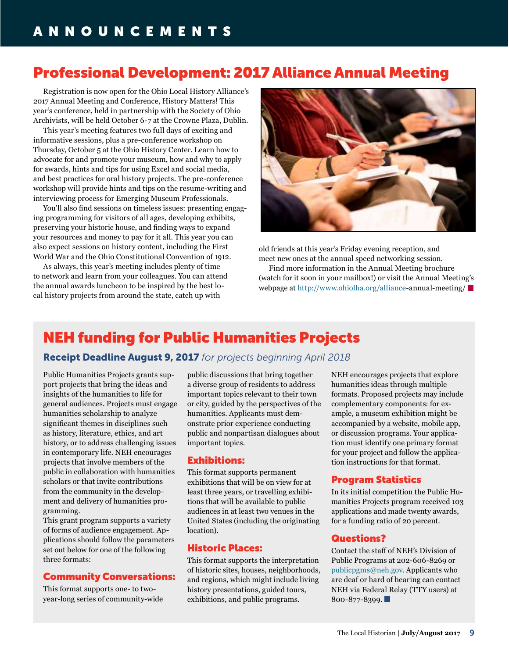# Professional Development: 2017 Alliance Annual Meeting

Registration is now open for the Ohio Local History Alliance's 2017 Annual Meeting and Conference, History Matters! This year's conference, held in partnership with the Society of Ohio Archivists, will be held October 6-7 at the Crowne Plaza, Dublin.

This year's meeting features two full days of exciting and informative sessions, plus a pre-conference workshop on Thursday, October 5 at the Ohio History Center. Learn how to advocate for and promote your museum, how and why to apply for awards, hints and tips for using Excel and social media, and best practices for oral history projects. The pre-conference workshop will provide hints and tips on the resume-writing and interviewing process for Emerging Museum Professionals.

You'll also find sessions on timeless issues: presenting engaging programming for visitors of all ages, developing exhibits, preserving your historic house, and finding ways to expand your resources and money to pay for it all. This year you can also expect sessions on history content, including the First World War and the Ohio Constitutional Convention of 1912.

As always, this year's meeting includes plenty of time to network and learn from your colleagues. You can attend the annual awards luncheon to be inspired by the best local history projects from around the state, catch up with



old friends at this year's Friday evening reception, and meet new ones at the annual speed networking session.

Find more information in the Annual Meeting brochure (watch for it soon in your mailbox!) or visit the Annual Meeting's webpage at<http://www.ohiolha.org/alliance>-annual-meeting/

# NEH funding for Public Humanities Projects

## Receipt Deadline August 9, 2017 *for projects beginning April 2018*

Public Humanities Projects grants support projects that bring the ideas and insights of the humanities to life for general audiences. Projects must engage humanities scholarship to analyze significant themes in disciplines such as history, literature, ethics, and art history, or to address challenging issues in contemporary life. NEH encourages projects that involve members of the public in collaboration with humanities scholars or that invite contributions from the community in the development and delivery of humanities programming.

This grant program supports a variety of forms of audience engagement. Applications should follow the parameters set out below for one of the following three formats:

#### Community Conversations:

This format supports one- to twoyear-long series of community-wide

public discussions that bring together a diverse group of residents to address important topics relevant to their town or city, guided by the perspectives of the humanities. Applicants must demonstrate prior experience conducting public and nonpartisan dialogues about important topics.

#### Exhibitions:

This format supports permanent exhibitions that will be on view for at least three years, or travelling exhibitions that will be available to public audiences in at least two venues in the United States (including the originating location).

## Historic Places:

This format supports the interpretation of historic sites, houses, neighborhoods, and regions, which might include living history presentations, guided tours, exhibitions, and public programs.

NEH encourages projects that explore humanities ideas through multiple formats. Proposed projects may include complementary components: for example, a museum exhibition might be accompanied by a website, mobile app, or discussion programs. Your application must identify one primary format for your project and follow the application instructions for that format.

## Program Statistics

In its initial competition the Public Humanities Projects program received 103 applications and made twenty awards, for a funding ratio of 20 percent.

#### Questions?

Contact the staff of NEH's Division of Public Programs at 202-606-8269 or [publicpgms@neh.gov](mailto:publicpgms@neh.gov). Applicants who are deaf or hard of hearing can contact NEH via Federal Relay (TTY users) at 800-877-8399.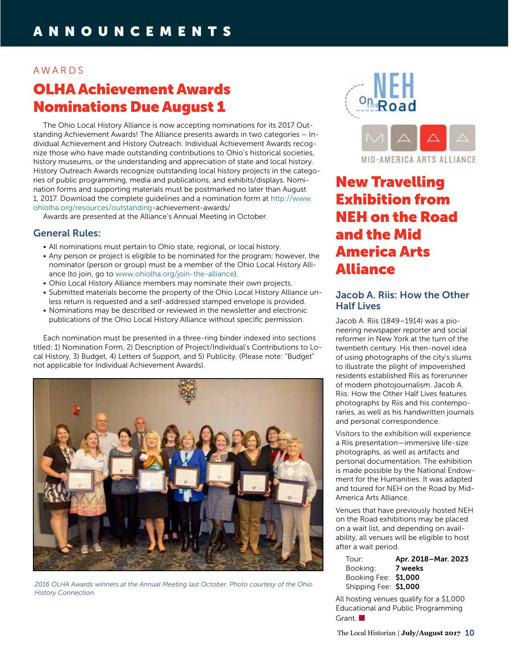## AWARDS

# OLHA Achievement Awards Nominations Due August 1

The Ohio Local History Alliance is now accepting nominations for its 2017 Outstanding Achievement Awards! The Alliance presents awards in two categories – Individual Achievement and History Outreach. Individual Achievement Awards recognize those who have made outstanding contributions to Ohio's historical societies, history museums, or the understanding and appreciation of state and local history. History Outreach Awards recognize outstanding local history projects in the categories of public programming, media and publications, and exhibits/displays. Nomination forms and supporting materials must be postmarked no later than August 1, 2017. Download the complete guidelines and a nomination form at [http://www.](http://www.ohiolha.org/resources/outstanding) [ohiolha.org/resources/outstanding](http://www.ohiolha.org/resources/outstanding)-achievement-awards/

Awards are presented at the Alliance's Annual Meeting in October.

## General Rules:

- All nominations must pertain to Ohio state, regional, or local history.
- Any person or project is eligible to be nominated for the program; however, the nominator (person or group) must be a member of the Ohio Local History Alliance (to join, go to [www.ohiolha.org/join-the-alliance\)](http://www.ohiolha.org/join-the-alliance).
- Ohio Local History Alliance members may nominate their own projects.
- Submitted materials become the property of the Ohio Local History Alliance unless return is requested and a self-addressed stamped envelope is provided.
- Nominations may be described or reviewed in the newsletter and electronic publications of the Ohio Local History Alliance without specific permission.

Each nomination must be presented in a three-ring binder indexed into sections titled: 1) Nomination Form, 2) Description of Project/Individual's Contributions to Local History, 3) Budget, 4) Letters of Support, and 5) Publicity. (Please note: "Budget" not applicable for Individual Achievement Awards).



*2016 OLHA Awards winners at the Annual Meeting last October. Photo courtesy of the Ohio History Connection.*



# New Travelling Exhibition from NEH on the Road and the Mid America Arts Alliance

## Jacob A. Riis: How the Other Half Lives

Jacob A. Riis (1849–1914) was a pioneering newspaper reporter and social reformer in New York at the turn of the twentieth century. His then-novel idea of using photographs of the city's slums to illustrate the plight of impoverished residents established Riis as forerunner of modern photojournalism. Jacob A. Riis: How the Other Half Lives features photographs by Riis and his contemporaries, as well as his handwritten journals and personal correspondence.

Visitors to the exhibition will experience a Riis presentation—immersive life-size photographs, as well as artifacts and personal documentation. The exhibition is made possible by the National Endowment for the Humanities. It was adapted and toured for NEH on the Road by Mid-America Arts Alliance.

Venues that have previously hosted NEH on the Road exhibitions may be placed on a wait list, and depending on availability, all venues will be eligible to host after a wait period.

| Tour:                 | Apr. 2018-Mar. 2023 |
|-----------------------|---------------------|
| Booking:              | 7 weeks             |
| Booking Fee: \$1,000  |                     |
| Shipping Fee: \$1,000 |                     |

All hosting venues qualify for a \$1,000 Educational and Public Programming Grant.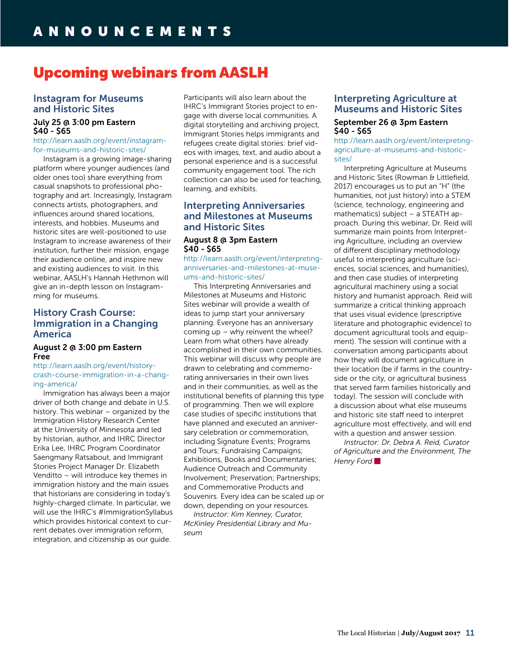# Upcoming webinars from AASLH

## Instagram for Museums and Historic Sites

#### July 25 @ 3:00 pm Eastern \$40 - \$65

<http://learn.aaslh.org/event/instagram>for-museums-and-historic-sites/

Instagram is a growing image-sharing platform where younger audiences (and older ones too) share everything from casual snapshots to professional photography and art. Increasingly, Instagram connects artists, photographers, and influences around shared locations, interests, and hobbies. Museums and historic sites are well-positioned to use Instagram to increase awareness of their institution, further their mission, engage their audience online, and inspire new and existing audiences to visit. In this webinar, AASLH's Hannah Hethmon will give an in-depth lesson on Instagramming for museums.

## History Crash Course: Immigration in a Changing America

#### August 2 @ 3:00 pm Eastern Free

#### <http://learn.aaslh.org/event/history>crash-course-immigration-in-a-changing-america/

Immigration has always been a major driver of both change and debate in U.S. history. This webinar – organized by the Immigration History Research Center at the University of Minnesota and led by historian, author, and IHRC Director Erika Lee, IHRC Program Coordinator Saengmany Ratsabout, and Immigrant Stories Project Manager Dr. Elizabeth Venditto – will introduce key themes in immigration history and the main issues that historians are considering in today's highly-charged climate. In particular, we will use the IHRC's #ImmigrationSyllabus which provides historical context to current debates over immigration reform, integration, and citizenship as our guide.

Participants will also learn about the IHRC's Immigrant Stories project to engage with diverse local communities. A digital storytelling and archiving project, Immigrant Stories helps immigrants and refugees create digital stories: brief videos with images, text, and audio about a personal experience and is a successful community engagement tool. The rich collection can also be used for teaching, learning, and exhibits.

## Interpreting Anniversaries and Milestones at Museums and Historic Sites

#### August 8 @ 3pm Eastern \$40 - \$65

<http://learn.aaslh.org/event/interpreting>anniversaries-and-milestones-at-museums-and-historic-sites/

This Interpreting Anniversaries and Milestones at Museums and Historic Sites webinar will provide a wealth of ideas to jump start your anniversary planning. Everyone has an anniversary coming up – why reinvent the wheel? Learn from what others have already accomplished in their own communities. This webinar will discuss why people are drawn to celebrating and commemorating anniversaries in their own lives and in their communities, as well as the institutional benefits of planning this type of programming. Then we will explore case studies of specific institutions that have planned and executed an anniversary celebration or commemoration, including Signature Events; Programs and Tours; Fundraising Campaigns; Exhibitions, Books and Documentaries; Audience Outreach and Community Involvement; Preservation; Partnerships; and Commemorative Products and Souvenirs. Every idea can be scaled up or down, depending on your resources.

*Instructor: Kim Kenney, Curator, McKinley Presidential Library and Museum*

## Interpreting Agriculture at Museums and Historic Sites September 26 @ 3pm Eastern \$40 - \$65

<http://learn.aaslh.org/event/interpreting>agriculture-at-museums-and-historicsites/

Interpreting Agriculture at Museums and Historic Sites (Rowman & Littlefield, 2017) encourages us to put an "H" (the humanities, not just history) into a STEM (science, technology, engineering and mathematics) subject – a STEATH approach. During this webinar, Dr. Reid will summarize main points from Interpreting Agriculture, including an overview of different disciplinary methodology useful to interpreting agriculture (sciences, social sciences, and humanities), and then case studies of interpreting agricultural machinery using a social history and humanist approach. Reid will summarize a critical thinking approach that uses visual evidence (prescriptive literature and photographic evidence) to document agricultural tools and equipment). The session will continue with a conversation among participants about how they will document agriculture in their location (be if farms in the countryside or the city, or agricultural business that served farm families historically and today). The session will conclude with a discussion about what else museums and historic site staff need to interpret agriculture most effectively, and will end with a question and answer session.

*Instructor: Dr. Debra A. Reid, Curator of Agriculture and the Environment, The Henry Ford*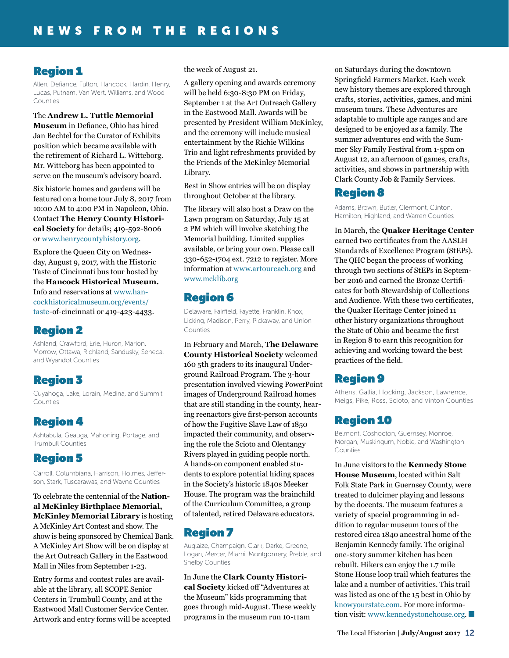# Region 1

Allen, Defiance, Fulton, Hancock, Hardin, Henry, Lucas, Putnam, Van Wert, Williams, and Wood Counties

#### The **Andrew L. Tuttle Memorial Museum** in Defiance, Ohio has hired

Jan Bechtel for the Curator of Exhibits position which became available with the retirement of Richard L. Witteborg. Mr. Witteborg has been appointed to serve on the museum's advisory board.

Six historic homes and gardens will be featured on a home tour July 8, 2017 from 10:00 AM to 4:00 PM in Napoleon, Ohio. Contact **The Henry County Historical Society** for details; 419-592-8006 or [www.henrycountyhistory.org.](http://www.henrycountyhistory.org)

Explore the Queen City on Wednesday, August 9, 2017, with the Historic Taste of Cincinnati bus tour hosted by the **Hancock Historical Museum.** Info and reservations at [www.han](http://www.hancockhistoricalmuseum.org/events/taste)[cockhistoricalmuseum.org/events/](http://www.hancockhistoricalmuseum.org/events/taste) [taste](http://www.hancockhistoricalmuseum.org/events/taste)-of-cincinnati or 419-423-4433.

# Region 2

Ashland, Crawford, Erie, Huron, Marion, Morrow, Ottawa, Richland, Sandusky, Seneca, and Wyandot Counties

# Region 3

Cuyahoga, Lake, Lorain, Medina, and Summit Counties

# Region 4

Ashtabula, Geauga, Mahoning, Portage, and Trumbull Counties

# Region 5

Carroll, Columbiana, Harrison, Holmes, Jefferson, Stark, Tuscarawas, and Wayne Counties

To celebrate the centennial of the **National McKinley Birthplace Memorial, McKinley Memorial Library** is hosting A McKinley Art Contest and show. The show is being sponsored by Chemical Bank. A McKinley Art Show will be on display at the Art Outreach Gallery in the Eastwood Mall in Niles from September 1-23.

Entry forms and contest rules are available at the library, all SCOPE Senior Centers in Trumbull County, and at the Eastwood Mall Customer Service Center. Artwork and entry forms will be accepted the week of August 21.

A gallery opening and awards ceremony will be held 6:30-8:30 PM on Friday, September 1 at the Art Outreach Gallery in the Eastwood Mall. Awards will be presented by President William McKinley, and the ceremony will include musical entertainment by the Richie Wilkins Trio and light refreshments provided by the Friends of the McKinley Memorial Library.

Best in Show entries will be on display throughout October at the library.

The library will also host a Draw on the Lawn program on Saturday, July 15 at 2 PM which will involve sketching the Memorial building. Limited supplies available, or bring your own. Please call 330-652-1704 ext. 7212 to register. More information at [www.artoureach.org](http://www.artoureach.org) and [www.mcklib.org](http://www.mcklib.org)

# Region 6

Delaware, Fairfield, Fayette, Franklin, Knox, Licking, Madison, Perry, Pickaway, and Union Counties

In February and March, **The Delaware County Historical Society** welcomed 160 5th graders to its inaugural Underground Railroad Program. The 3-hour presentation involved viewing PowerPoint images of Underground Railroad homes that are still standing in the county, hearing reenactors give first-person accounts of how the Fugitive Slave Law of 1850 impacted their community, and observing the role the Scioto and Olentangy Rivers played in guiding people north. A hands-on component enabled students to explore potential hiding spaces in the Society's historic 1840s Meeker House. The program was the brainchild of the Curriculum Committee, a group of talented, retired Delaware educators.

# Region 7

Auglaize, Champaign, Clark, Darke, Greene, Logan, Mercer, Miami, Montgomery, Preble, and Shelby Counties

In June the **Clark County Historical Society** kicked off "Adventures at the Museum" kids programming that goes through mid-August. These weekly programs in the museum run 10-11am

on Saturdays during the downtown Springfield Farmers Market. Each week new history themes are explored through crafts, stories, activities, games, and mini museum tours. These Adventures are adaptable to multiple age ranges and are designed to be enjoyed as a family. The summer adventures end with the Summer Sky Family Festival from 1-5pm on August 12, an afternoon of games, crafts, activities, and shows in partnership with Clark County Job & Family Services.

# Region 8

Adams, Brown, Butler, Clermont, Clinton, Hamilton, Highland, and Warren Counties

In March, the **Quaker Heritage Center** earned two certificates from the AASLH Standards of Excellence Program (StEPs). The QHC began the process of working through two sections of StEPs in September 2016 and earned the Bronze Certificates for both Stewardship of Collections and Audience. With these two certificates, the Quaker Heritage Center joined 11 other history organizations throughout the State of Ohio and became the first in Region 8 to earn this recognition for achieving and working toward the best practices of the field.

# Region 9

Athens, Gallia, Hocking, Jackson, Lawrence, Meigs, Pike, Ross, Scioto, and Vinton Counties

# Region 10

Belmont, Coshocton, Guernsey, Monroe, Morgan, Muskingum, Noble, and Washington Counties

In June visitors to the **Kennedy Stone House Museum**, located within Salt Folk State Park in Guernsey County, were treated to dulcimer playing and lessons by the docents. The museum features a variety of special programming in addition to regular museum tours of the restored circa 1840 ancestral home of the Benjamin Kennedy family. The original one-story summer kitchen has been rebuilt. Hikers can enjoy the 1.7 mile Stone House loop trail which features the lake and a number of activities. This trail was listed as one of the 15 best in Ohio by [knowyourstate.com](http://knowyourstate.com). For more information visit: [www.kennedystonehouse.org](http://www.kennedystonehouse.org).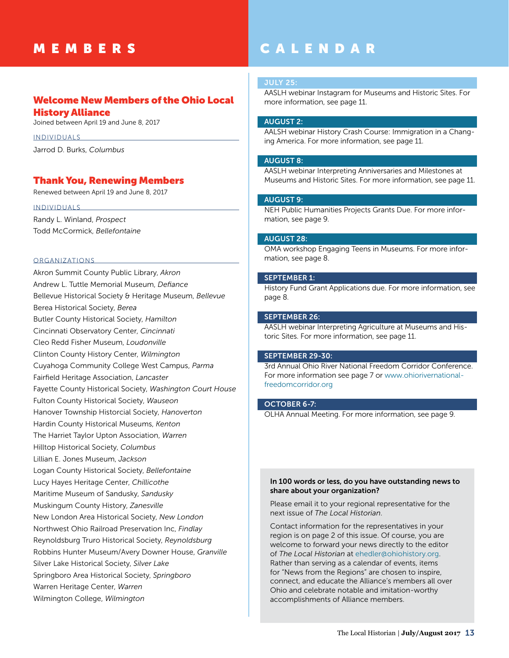# MEMBERS

## Welcome New Members of the Ohio Local History Alliance

Joined between April 19 and June 8, 2017

#### INDIVIDUALS

Jarrod D. Burks, *Columbus*

## Thank You, Renewing Members

Renewed between April 19 and June 8, 2017

#### INDIVIDUALS

Randy L. Winland, *Prospect* Todd McCormick, *Bellefontaine*

#### **ORGANIZATIONS**

Akron Summit County Public Library, *Akron* Andrew L. Tuttle Memorial Museum, *Defiance* Bellevue Historical Society & Heritage Museum, *Bellevue* Berea Historical Society, *Berea* Butler County Historical Society, *Hamilton* Cincinnati Observatory Center, *Cincinnati* Cleo Redd Fisher Museum, *Loudonville* Clinton County History Center, *Wilmington* Cuyahoga Community College West Campus, *Parma* Fairfield Heritage Association, *Lancaster* Fayette County Historical Society, *Washington Court House* Fulton County Historical Society, *Wauseon* Hanover Township Historcial Society, *Hanoverton* Hardin County Historical Museums, *Kenton* The Harriet Taylor Upton Association, *Warren* Hilltop Historical Society, *Columbus* Lillian E. Jones Museum, *Jackson* Logan County Historical Society, *Bellefontaine* Lucy Hayes Heritage Center, *Chillicothe* Maritime Museum of Sandusky, *Sandusky* Muskingum County History, *Zanesville* New London Area Historical Society, *New London* Northwest Ohio Railroad Preservation Inc, *Findlay* Reynoldsburg Truro Historical Society, *Reynoldsburg* Robbins Hunter Museum/Avery Downer House, *Granville* Silver Lake Historical Society, *Silver Lake* Springboro Area Historical Society, *Springboro* Warren Heritage Center, *Warren* Wilmington College, *Wilmington*

# CALENDAR

#### JULY 25:

AASLH webinar Instagram for Museums and Historic Sites. For more information, see page 11.

#### AUGUST 2:

AALSH webinar History Crash Course: Immigration in a Changing America. For more information, see page 11.

#### AUGUST 8:

AASLH webinar Interpreting Anniversaries and Milestones at Museums and Historic Sites. For more information, see page 11.

#### AUGUST 9:

NEH Public Humanities Projects Grants Due. For more information, see page 9.

#### AUGUST 28:

OMA workshop Engaging Teens in Museums. For more information, see page 8.

#### SEPTEMBER 1:

History Fund Grant Applications due. For more information, see page 8.

#### SEPTEMBER 26:

AASLH webinar Interpreting Agriculture at Museums and Historic Sites. For more information, see page 11.

#### SEPTEMBER 29-30:

3rd Annual Ohio River National Freedom Corridor Conference. For more information see page 7 or [www.ohiorivernational](http://www.ohiorivernationalfreedomcorridor.org)[freedomcorridor.org](http://www.ohiorivernationalfreedomcorridor.org)

## OCTOBER 6-7:

OLHA Annual Meeting. For more information, see page 9.

#### In 100 words or less, do you have outstanding news to share about your organization?

Please email it to your regional representative for the next issue of *The Local Historian*.

Contact information for the representatives in your region is on page 2 of this issue. Of course, you are welcome to forward your news directly to the editor of *The Local Historian* at ehedler[@ohiohistory.org](mailto:ehedler%40ohiohistory.org?subject=). Rather than serving as a calendar of events, items for "News from the Regions" are chosen to inspire, connect, and educate the Alliance's members all over Ohio and celebrate notable and imitation-worthy accomplishments of Alliance members.